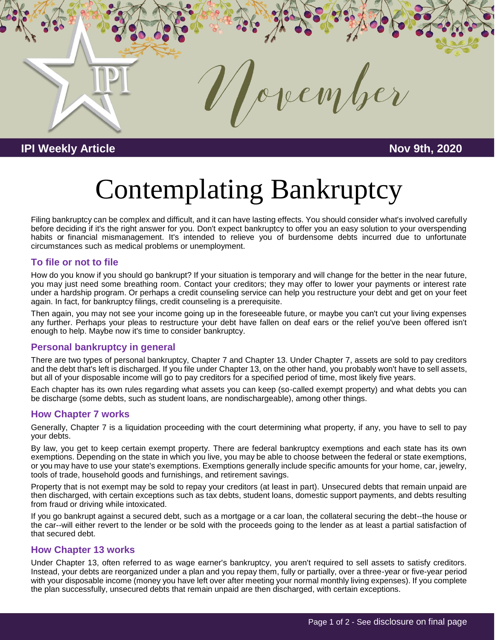

## **IPI Weekly Article Nov 9th, 2020**

# Contemplating Bankruptcy

Filing bankruptcy can be complex and difficult, and it can have lasting effects. You should consider what's involved carefully before deciding if it's the right answer for you. Don't expect bankruptcy to offer you an easy solution to your overspending habits or financial mismanagement. It's intended to relieve you of burdensome debts incurred due to unfortunate circumstances such as medical problems or unemployment.

#### **To file or not to file**

How do you know if you should go bankrupt? If your situation is temporary and will change for the better in the near future, you may just need some breathing room. Contact your creditors; they may offer to lower your payments or interest rate under a hardship program. Or perhaps a credit counseling service can help you restructure your debt and get on your feet again. In fact, for bankruptcy filings, credit counseling is a prerequisite.

Then again, you may not see your income going up in the foreseeable future, or maybe you can't cut your living expenses any further. Perhaps your pleas to restructure your debt have fallen on deaf ears or the relief you've been offered isn't enough to help. Maybe now it's time to consider bankruptcy.

#### **Personal bankruptcy in general**

There are two types of personal bankruptcy, Chapter 7 and Chapter 13. Under Chapter 7, assets are sold to pay creditors and the debt that's left is discharged. If you file under Chapter 13, on the other hand, you probably won't have to sell assets, but all of your disposable income will go to pay creditors for a specified period of time, most likely five years.

Each chapter has its own rules regarding what assets you can keep (so-called exempt property) and what debts you can be discharge (some debts, such as student loans, are nondischargeable), among other things.

#### **How Chapter 7 works**

Generally, Chapter 7 is a liquidation proceeding with the court determining what property, if any, you have to sell to pay your debts.

By law, you get to keep certain exempt property. There are federal bankruptcy exemptions and each state has its own exemptions. Depending on the state in which you live, you may be able to choose between the federal or state exemptions, or you may have to use your state's exemptions. Exemptions generally include specific amounts for your home, car, jewelry, tools of trade, household goods and furnishings, and retirement savings.

Property that is not exempt may be sold to repay your creditors (at least in part). Unsecured debts that remain unpaid are then discharged, with certain exceptions such as tax debts, student loans, domestic support payments, and debts resulting from fraud or driving while intoxicated.

If you go bankrupt against a secured debt, such as a mortgage or a car loan, the collateral securing the debt--the house or the car--will either revert to the lender or be sold with the proceeds going to the lender as at least a partial satisfaction of that secured debt.

#### **How Chapter 13 works**

Under Chapter 13, often referred to as wage earner's bankruptcy, you aren't required to sell assets to satisfy creditors. Instead, your debts are reorganized under a plan and you repay them, fully or partially, over a three-year or five-year period with your disposable income (money you have left over after meeting your normal monthly living expenses). If you complete the plan successfully, unsecured debts that remain unpaid are then discharged, with certain exceptions.